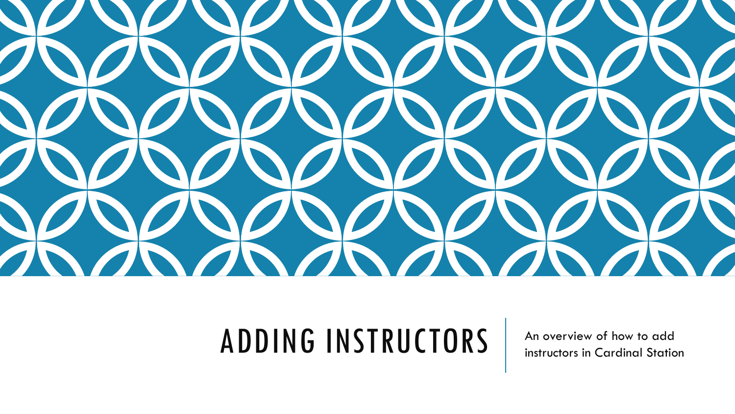

### ADDING INSTRUCTORS An overview of how to add

instructors in Cardinal Station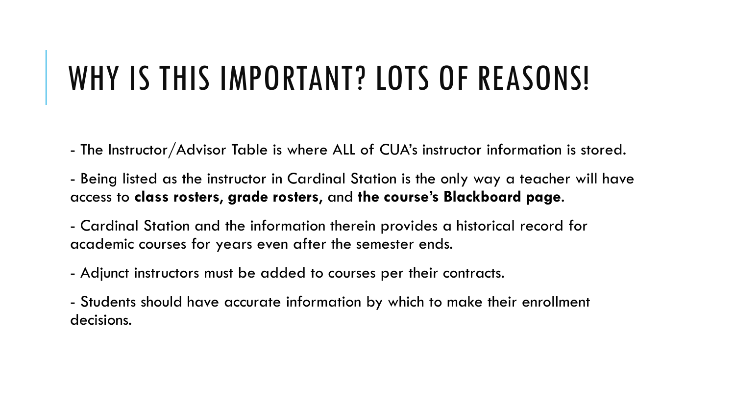### WHY IS THIS IMPORTANT? LOTS OF REASONS!

- The Instructor/Advisor Table is where ALL of CUA's instructor information is stored.

- Being listed as the instructor in Cardinal Station is the only way a teacher will have access to **class rosters**, **grade rosters**, and **the course's Blackboard page**.

- Cardinal Station and the information therein provides a historical record for academic courses for years even after the semester ends.

- Adjunct instructors must be added to courses per their contracts.

- Students should have accurate information by which to make their enrollment decisions.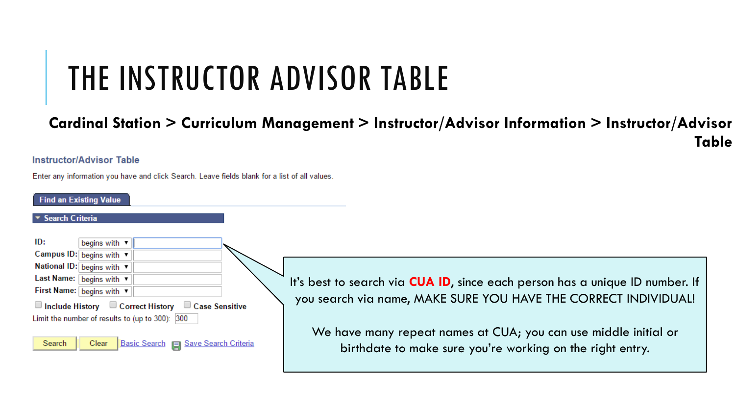# THE INSTRUCTOR ADVISOR TABLE

#### **Cardinal Station > Curriculum Management > Instructor/Advisor Information > Instructor/Advisor Table**

#### **Instructor/Advisor Table**

Enter any information you have and click Search. Leave fields blank for a list of all values.

#### **Find an Existing Value**

#### **Search Criteria**

ID: begins with v Campus ID: begins with National ID: begins with  $\blacktriangledown$ Last Name: begins with ▼ First Name: begins with ▼ □ Include History □ Correct History □ Case Sensitive Limit the number of results to (up to 300): 300

Basic Search | Save Search Criteria Search Clear

It's best to search via **CUA ID**, since each person has a unique ID number. If you search via name, MAKE SURE YOU HAVE THE CORRECT INDIVIDUAL!

We have many repeat names at CUA; you can use middle initial or birthdate to make sure you're working on the right entry.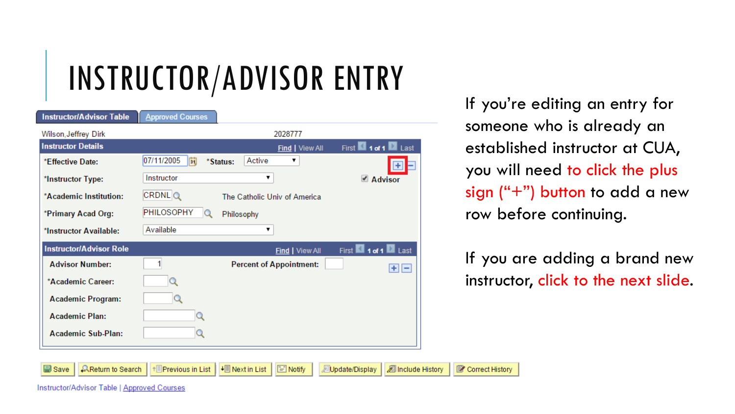# INSTRUCTOR/ADVISOR ENTRY

| <b>Instructor/Advisor Table</b> | <b>Approved Courses</b>                                          |
|---------------------------------|------------------------------------------------------------------|
| Wilson, Jeffrey Dirk            | 2028777                                                          |
| <b>Instructor Details</b>       | First 1 of 1 2 Last<br>Find   View All                           |
| *Effective Date:                | 07/11/2005<br>$\overline{\mathbf{H}}$<br>Active<br>*Status:<br>▼ |
| *Instructor Type:               | Instructor<br>7<br>■ Advisor                                     |
| *Academic Institution:          | <b>CRDNLQ</b><br>The Catholic Univ of America                    |
| *Primary Acad Org:              | PHILOSOPHY<br>Philosophy                                         |
| *Instructor Available:          | Available                                                        |
| <b>Instructor/Advisor Role</b>  | First 1 1 of 1 2 Last<br>Find   View All                         |
| <b>Advisor Number:</b>          | <b>Percent of Appointment:</b><br>$+$ $-$                        |
| *Academic Career:               |                                                                  |
| <b>Academic Program:</b>        | Q                                                                |
| <b>Academic Plan:</b>           |                                                                  |
| <b>Academic Sub-Plan:</b>       |                                                                  |
|                                 |                                                                  |

 $\left|\frac{1}{2}\right|$  Next in List

**Previous in List** 

 $\boxed{=}$  Notify

Update/Display

Include History

Correct History

If you're editing an entry for someone who is already an established instructor at CUA, you will need to click the plus sign  $("+")$  button to add a new row before continuing.

If you are adding a brand new instructor, click to the next slide.

Instructor/Advisor Table | Approved Courses

 $\Omega$ Return to Search

Save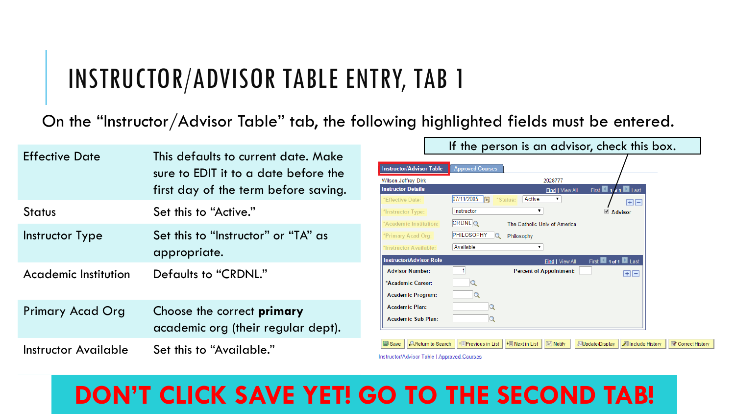#### INSTRUCTOR/ADVISOR TABLE ENTRY, TAB 1

On the "Instructor/Advisor Table" tab, the following highlighted fields must be entered.

|                         |                                                                                                                     | If the person is an advisor, check this box.                                                                                                                                                       |
|-------------------------|---------------------------------------------------------------------------------------------------------------------|----------------------------------------------------------------------------------------------------------------------------------------------------------------------------------------------------|
| <b>Effective Date</b>   | This defaults to current date. Make<br>sure to EDIT it to a date before the<br>first day of the term before saving. | <b>Instructor/Advisor Table</b><br><b>Approved Courses</b><br>2028777<br>Wilson, Jeffrey Dirk<br>First 1 1 / 1 1 Last<br><b>Instructor Details</b><br>Find   View All<br>$\boldsymbol{\mathrm{v}}$ |
| <b>Status</b>           | Set this to "Active."                                                                                               | $\boxed{07/11/2005}$<br>Active<br>*Effective Date:<br>*Status:<br>$H =$<br>Instructor<br>*Instructor Type:<br>■ Advisor<br>CRDNLQ<br>*Academic Institution:<br>The Catholic Univ of America        |
| Instructor Type         | Set this to "Instructor" or "TA" as<br>appropriate.                                                                 | PHILOSOPHY<br>$\alpha$<br>*Primary Acad Org:<br>Philosophy<br>Available<br>*Instructor Available:<br><b>Instructor/Advisor Role</b><br>First 1 1 of 1 Last<br>Find   View All                      |
| Academic Institution    | Defaults to "CRDNL."                                                                                                | <b>Advisor Number:</b><br><b>Percent of Appointment:</b><br>$+$ $-$<br>*Academic Career:<br><b>Academic Program:</b><br>Q                                                                          |
| <b>Primary Acad Org</b> | Choose the correct <b>primary</b><br>academic org (their regular dept).                                             | <b>Academic Plan:</b><br><b>Academic Sub-Plan:</b>                                                                                                                                                 |
| Instructor Available    | Set this to "Available."                                                                                            | + Next in List   ■ Notify<br>Include History<br>Correct History<br><b>AReturn to Search</b><br>↑ Previous in List<br>Update/Display<br>Instructor/Advisor Table   Approved Courses                 |

#### **DON'T CLICK SAVE YET! GO TO THE SECOND TAB!**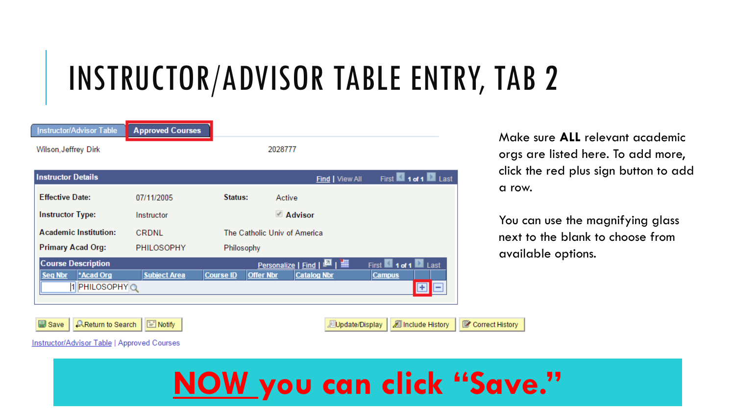# INSTRUCTOR/ADVISOR TABLE ENTRY, TAB 2

| Instructor/Advisor Table                                           | <b>Approved Courses</b> |                  |                                                                                      |                                                                  |
|--------------------------------------------------------------------|-------------------------|------------------|--------------------------------------------------------------------------------------|------------------------------------------------------------------|
| Wilson, Jeffrey Dirk                                               |                         |                  | 2028777                                                                              |                                                                  |
| <b>Instructor Details</b>                                          |                         |                  | Find   View All                                                                      | First 1 1 of 1 2 Last                                            |
| <b>Effective Date:</b>                                             | 07/11/2005              | Status:          | Active                                                                               |                                                                  |
| <b>Instructor Type:</b>                                            | Instructor              |                  | ■ Advisor                                                                            |                                                                  |
| <b>Academic Institution:</b>                                       | CRDNL                   |                  | The Catholic Univ of America                                                         |                                                                  |
| <b>Primary Acad Org:</b>                                           | PHILOSOPHY              | Philosophy       |                                                                                      |                                                                  |
| <b>Course Description</b><br>*Acad Org<br>Seq Nbr<br>1 PHILOSOPHYQ | <b>Subject Area</b>     | <b>Course ID</b> | Personalize   Find   <b>EL</b>   <b>HI</b><br><b>Offer Nbr</b><br><b>Catalog Nbr</b> | First $\blacksquare$ 1 of 1 $\blacksquare$ Last<br><b>Campus</b> |

Make sure **ALL** relevant academic orgs are listed here. To add more, click the red plus sign button to add a row.

You can use the magnifying glass next to the blank to choose from available options.

**AReturn to Search**  $\Box$  Notify LB Save

|  | Dpdate/Display   2 Include History | Correct History |
|--|------------------------------------|-----------------|
|--|------------------------------------|-----------------|

**Instructor/Advisor Table | Approved Courses** 

### **NOW you can click "Save."**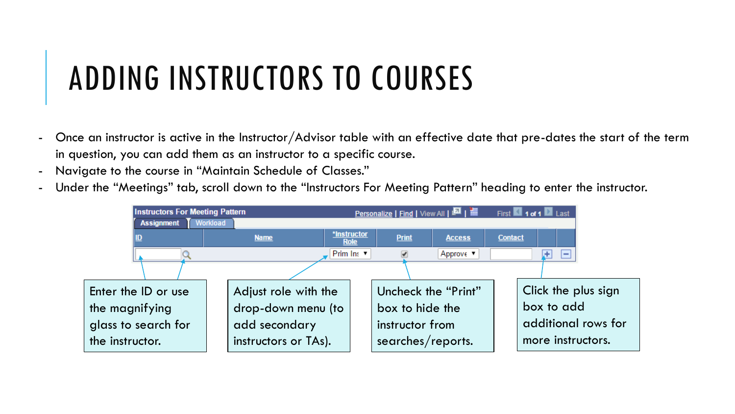# ADDING INSTRUCTORS TO COURSES

- Once an instructor is active in the Instructor/Advisor table with an effective date that pre-dates the start of the term in question, you can add them as an instructor to a specific course.
- Navigate to the course in "Maintain Schedule of Classes."
- Under the "Meetings" tab, scroll down to the "Instructors For Meeting Pattern" heading to enter the instructor.